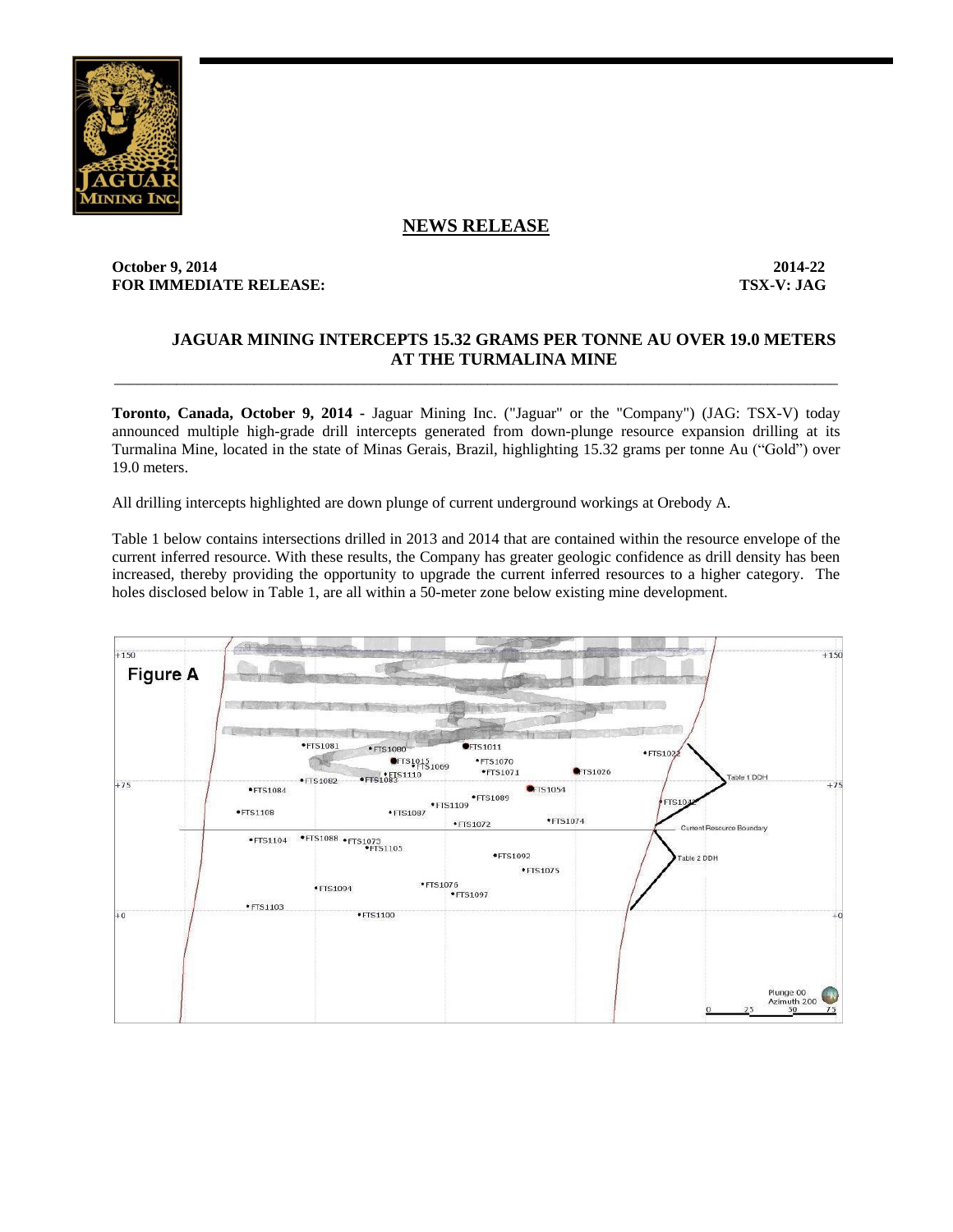

# **NEWS RELEASE**

## **October 9, 2014-22** 2014-22 **FOR IMMEDIATE RELEASE: TSX-V: JAG**

## **JAGUAR MINING INTERCEPTS 15.32 GRAMS PER TONNE AU OVER 19.0 METERS AT THE TURMALINA MINE**

**Toronto, Canada, October 9, 2014 -** Jaguar Mining Inc. ("Jaguar" or the "Company") (JAG: TSX-V) today announced multiple high-grade drill intercepts generated from down-plunge resource expansion drilling at its Turmalina Mine, located in the state of Minas Gerais, Brazil, highlighting 15.32 grams per tonne Au ("Gold") over 19.0 meters.

\_\_\_\_\_\_\_\_\_\_\_\_\_\_\_\_\_\_\_\_\_\_\_\_\_\_\_\_\_\_\_\_\_\_\_\_\_\_\_\_\_\_\_\_\_\_\_\_\_\_\_\_\_\_\_\_\_\_\_\_\_\_\_\_\_\_\_\_\_\_\_\_\_\_\_\_\_\_\_\_\_\_\_\_\_\_\_\_\_\_\_\_\_

All drilling intercepts highlighted are down plunge of current underground workings at Orebody A.

Table 1 below contains intersections drilled in 2013 and 2014 that are contained within the resource envelope of the current inferred resource. With these results, the Company has greater geologic confidence as drill density has been increased, thereby providing the opportunity to upgrade the current inferred resources to a higher category. The holes disclosed below in Table 1, are all within a 50-meter zone below existing mine development.

| $+150$<br><b>Figure A</b> | <b>COLLE</b>                                                                                                                                                                                                  | $+150$                                     |
|---------------------------|---------------------------------------------------------------------------------------------------------------------------------------------------------------------------------------------------------------|--------------------------------------------|
|                           | ·FTS1081<br>$•$ FTS1011<br><b>*FTS1080</b><br>·FTS1022<br>$\bigcirc$ FTS1015 <sub>1069</sub><br>·FTS1070<br>$\bullet$ TS1026<br>·FTS1071                                                                      | Table 1 DDH                                |
| $+75$                     | $\cdot$ FTS1083 <sup>51110</sup><br>·FTS1082<br><b>ATS1054</b><br>·FTS1084<br>·FTS1089<br>FTS104<br>$•$ FTS1109<br>$•$ FTS1108<br><b>*FIS1087</b><br>·FTS1074<br>·FTS1072<br><b>Current Resource Boundary</b> | $+75$                                      |
|                           | *FTS1088 *FTS1073<br>*FTS1105<br>$•$ FTS1104<br><b>*FTS1092</b><br>Table 2 DDH<br>·FTS1075<br><b>*FTS1076</b><br><b>*FTS1094</b><br>● FTS1097<br>$\bullet$ FTS1103                                            |                                            |
| $+0$                      | FFS1100                                                                                                                                                                                                       |                                            |
|                           |                                                                                                                                                                                                               | Plunge 00<br>Azimuth 200<br>50<br>75<br>25 |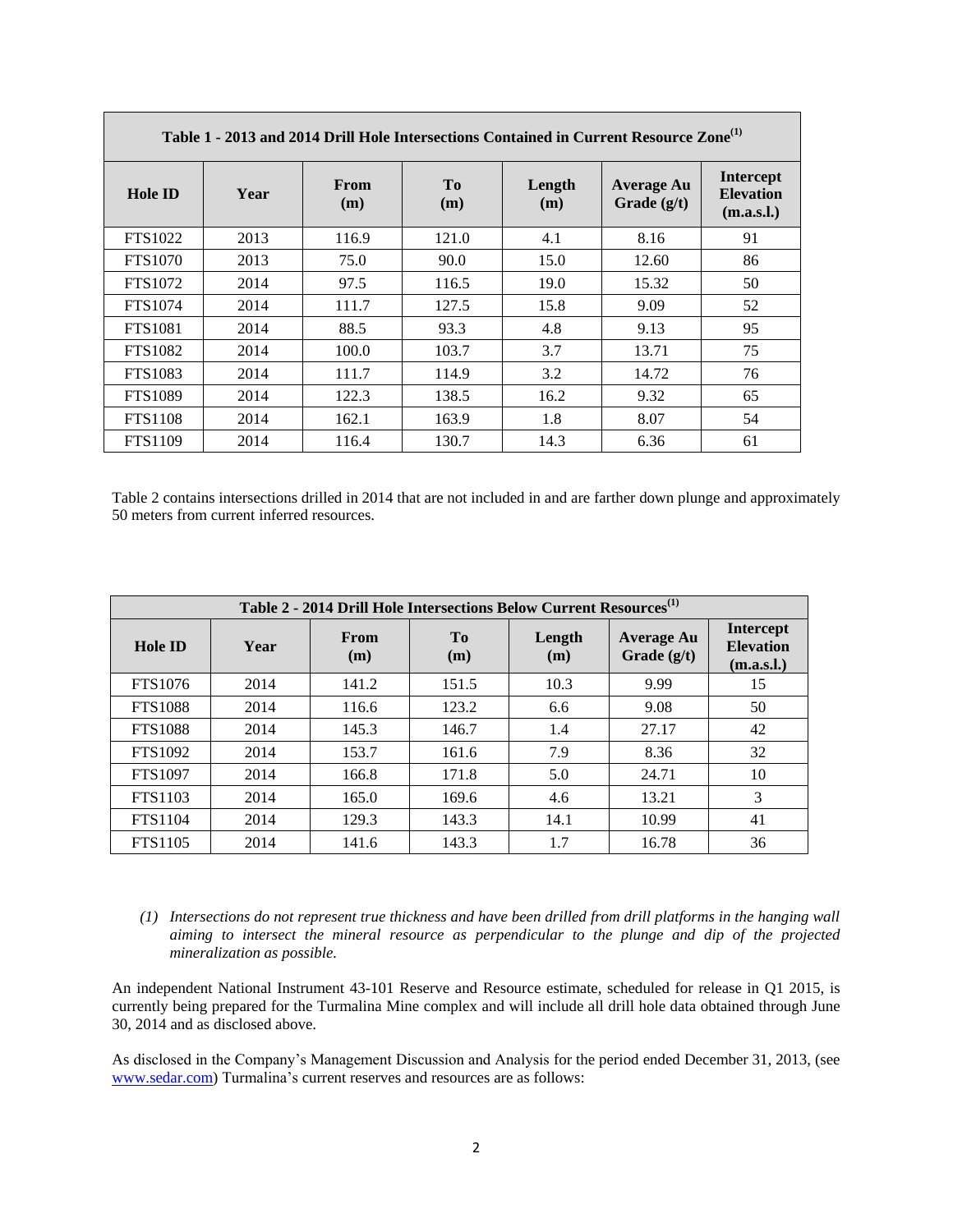| Table 1 - 2013 and 2014 Drill Hole Intersections Contained in Current Resource Zone <sup>(1)</sup> |      |                    |           |      |                                    |                                                    |  |  |  |
|----------------------------------------------------------------------------------------------------|------|--------------------|-----------|------|------------------------------------|----------------------------------------------------|--|--|--|
| <b>Hole ID</b>                                                                                     | Year | <b>From</b><br>(m) | To<br>(m) |      | <b>Average Au</b><br>Grade $(g/t)$ | <b>Intercept</b><br><b>Elevation</b><br>(m.a.s.l.) |  |  |  |
| <b>FTS1022</b>                                                                                     | 2013 | 116.9              | 121.0     | 4.1  | 8.16                               | 91                                                 |  |  |  |
| <b>FTS1070</b>                                                                                     | 2013 | 75.0               | 90.0      | 15.0 | 12.60                              | 86                                                 |  |  |  |
| <b>FTS1072</b>                                                                                     | 2014 | 97.5               | 116.5     | 19.0 | 15.32                              | 50                                                 |  |  |  |
| <b>FTS1074</b>                                                                                     | 2014 | 111.7              | 127.5     | 15.8 | 9.09                               | 52                                                 |  |  |  |
| <b>FTS1081</b>                                                                                     | 2014 | 88.5               | 93.3      | 4.8  | 9.13                               | 95                                                 |  |  |  |
| <b>FTS1082</b>                                                                                     | 2014 | 100.0              | 103.7     | 3.7  | 13.71                              | 75                                                 |  |  |  |
| <b>FTS1083</b>                                                                                     | 2014 | 111.7              | 114.9     | 3.2  | 14.72                              | 76                                                 |  |  |  |
| <b>FTS1089</b>                                                                                     | 2014 | 122.3              | 138.5     | 16.2 | 9.32                               | 65                                                 |  |  |  |
| <b>FTS1108</b>                                                                                     | 2014 | 162.1              | 163.9     | 1.8  | 8.07                               | 54                                                 |  |  |  |
| <b>FTS1109</b>                                                                                     | 2014 | 116.4              | 130.7     | 14.3 | 6.36                               | 61                                                 |  |  |  |

Table 2 contains intersections drilled in 2014 that are not included in and are farther down plunge and approximately 50 meters from current inferred resources.

| Table 2 - 2014 Drill Hole Intersections Below Current Resources <sup>(1)</sup> |      |                                                                                                    |       |                                                    |       |    |  |  |  |
|--------------------------------------------------------------------------------|------|----------------------------------------------------------------------------------------------------|-------|----------------------------------------------------|-------|----|--|--|--|
| <b>Hole ID</b>                                                                 | Year | T <sub>0</sub><br><b>From</b><br>Length<br><b>Average Au</b><br>Grade $(g/t)$<br>(m)<br>(m)<br>(m) |       | <b>Intercept</b><br><b>Elevation</b><br>(m.a.s.l.) |       |    |  |  |  |
| FTS1076                                                                        | 2014 | 141.2                                                                                              | 151.5 | 10.3                                               | 9.99  | 15 |  |  |  |
| <b>FTS1088</b>                                                                 | 2014 | 116.6                                                                                              | 123.2 | 6.6                                                | 9.08  | 50 |  |  |  |
| <b>FTS1088</b>                                                                 | 2014 | 145.3                                                                                              | 146.7 | 1.4                                                | 27.17 | 42 |  |  |  |
| FTS1092                                                                        | 2014 | 153.7                                                                                              | 161.6 | 7.9                                                | 8.36  | 32 |  |  |  |
| FTS1097                                                                        | 2014 | 166.8                                                                                              | 171.8 | 5.0                                                | 24.71 | 10 |  |  |  |
| FTS1103                                                                        | 2014 | 165.0                                                                                              | 169.6 | 4.6                                                | 13.21 | 3  |  |  |  |
| FTS1104                                                                        | 2014 | 129.3                                                                                              | 143.3 | 14.1                                               | 10.99 | 41 |  |  |  |
| FTS1105                                                                        | 2014 | 141.6                                                                                              | 143.3 | 1.7                                                | 16.78 | 36 |  |  |  |

*(1) Intersections do not represent true thickness and have been drilled from drill platforms in the hanging wall aiming to intersect the mineral resource as perpendicular to the plunge and dip of the projected mineralization as possible.*

An independent National Instrument 43-101 Reserve and Resource estimate, scheduled for release in Q1 2015, is currently being prepared for the Turmalina Mine complex and will include all drill hole data obtained through June 30, 2014 and as disclosed above.

As disclosed in the Company's Management Discussion and Analysis for the period ended December 31, 2013, (see [www.sedar.com\)](http://www.sedar.com/) Turmalina's current reserves and resources are as follows: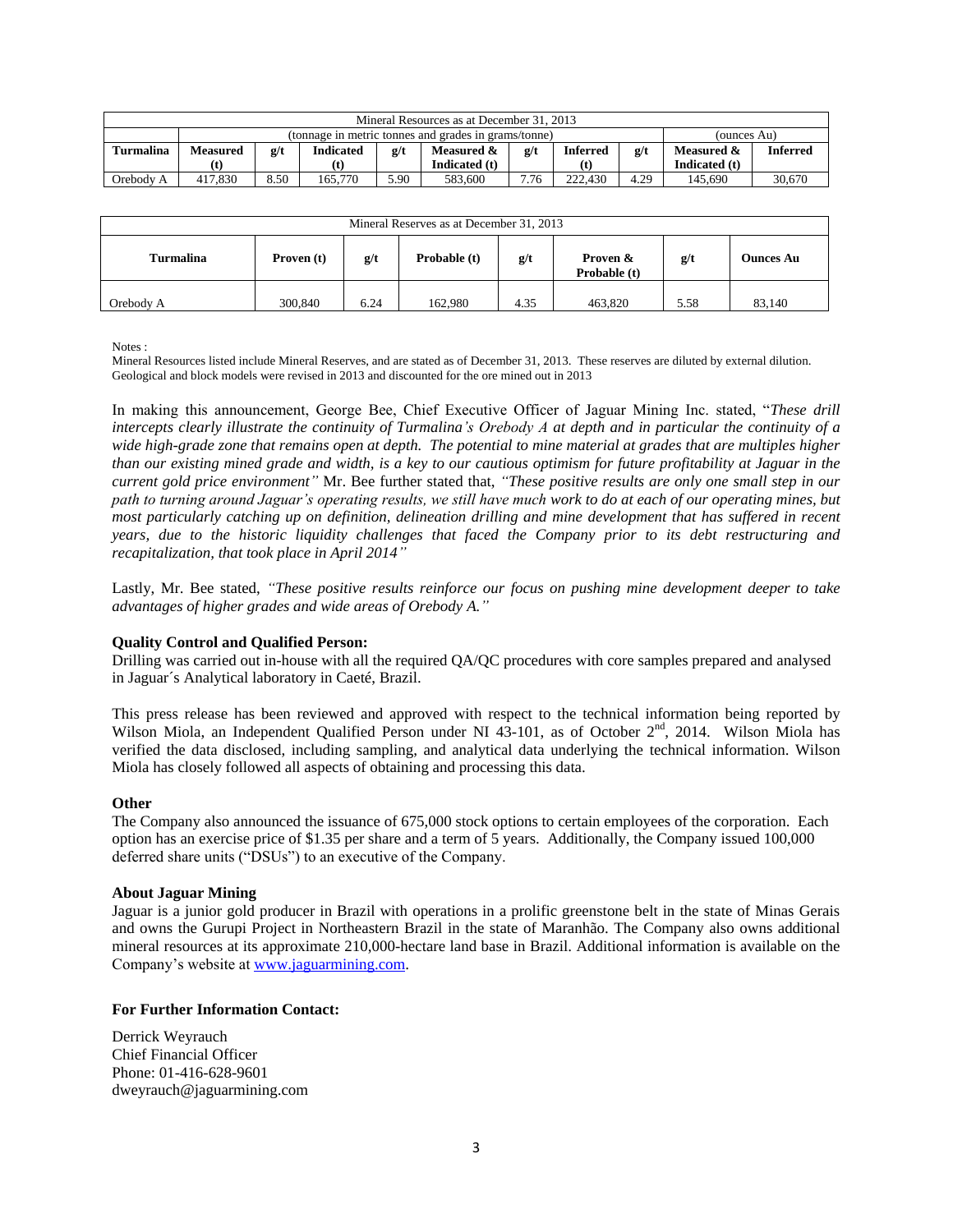| Mineral Resources as at December 31, 2013 |                                                      |      |                  |      |               |      |                 |      |               |          |
|-------------------------------------------|------------------------------------------------------|------|------------------|------|---------------|------|-----------------|------|---------------|----------|
|                                           | (tonnage in metric tonnes and grades in grams/tonne) |      |                  |      |               |      |                 |      | (ounces Au)   |          |
| Turmalina                                 | <b>Measured</b>                                      | g/t  | <b>Indicated</b> | g/t  | Measured &    | g/t  | <b>Inferred</b> | g/t  | Measured &    | Inferred |
|                                           |                                                      |      |                  |      | Indicated (t) |      | (t)             |      | Indicated (t) |          |
| Orebody A                                 | 417.830                                              | 8.50 | 165.770          | 5.90 | 583,600       | 7.76 | 222.430         | 4.29 | 145.690       | 30,670   |

| Mineral Reserves as at December 31, 2013 |            |      |              |      |                          |      |                  |  |  |
|------------------------------------------|------------|------|--------------|------|--------------------------|------|------------------|--|--|
| <b>Turmalina</b>                         | Proven (t) | g/t  | Probable (t) | g/t  | Proven &<br>Probable (t) | g/t  | <b>Ounces Au</b> |  |  |
| Orebody A                                | 300,840    | 6.24 | 162,980      | 4.35 | 463,820                  | 5.58 | 83.140           |  |  |

Notes :

Mineral Resources listed include Mineral Reserves, and are stated as of December 31, 2013. These reserves are diluted by external dilution. Geological and block models were revised in 2013 and discounted for the ore mined out in 2013

In making this announcement, George Bee, Chief Executive Officer of Jaguar Mining Inc. stated, "*These drill intercepts clearly illustrate the continuity of Turmalina's Orebody A at depth and in particular the continuity of a wide high-grade zone that remains open at depth. The potential to mine material at grades that are multiples higher than our existing mined grade and width, is a key to our cautious optimism for future profitability at Jaguar in the current gold price environment"* Mr. Bee further stated that, *"These positive results are only one small step in our*  path to turning around Jaguar's operating results, we still have much work to do at each of our operating mines, but *most particularly catching up on definition, delineation drilling and mine development that has suffered in recent years, due to the historic liquidity challenges that faced the Company prior to its debt restructuring and recapitalization, that took place in April 2014"* 

Lastly, Mr. Bee stated, *"These positive results reinforce our focus on pushing mine development deeper to take advantages of higher grades and wide areas of Orebody A."*

### **Quality Control and Qualified Person:**

Drilling was carried out in-house with all the required QA/QC procedures with core samples prepared and analysed in Jaguar´s Analytical laboratory in Caeté, Brazil.

This press release has been reviewed and approved with respect to the technical information being reported by Wilson Miola, an Independent Qualified Person under NI 43-101, as of October 2<sup>nd</sup>, 2014. Wilson Miola has verified the data disclosed, including sampling, and analytical data underlying the technical information. Wilson Miola has closely followed all aspects of obtaining and processing this data.

#### **Other**

The Company also announced the issuance of 675,000 stock options to certain employees of the corporation. Each option has an exercise price of \$1.35 per share and a term of 5 years. Additionally, the Company issued 100,000 deferred share units ("DSUs") to an executive of the Company.

#### **About Jaguar Mining**

Jaguar is a junior gold producer in Brazil with operations in a prolific greenstone belt in the state of Minas Gerais and owns the Gurupi Project in Northeastern Brazil in the state of Maranhão. The Company also owns additional mineral resources at its approximate 210,000-hectare land base in Brazil. Additional information is available on the Company's website at [www.jaguarmining.com.](http://www.jaguarmining.com/)

#### **For Further Information Contact:**

Derrick Weyrauch Chief Financial Officer Phone: 01-416-628-9601 dweyrauch@jaguarmining.com